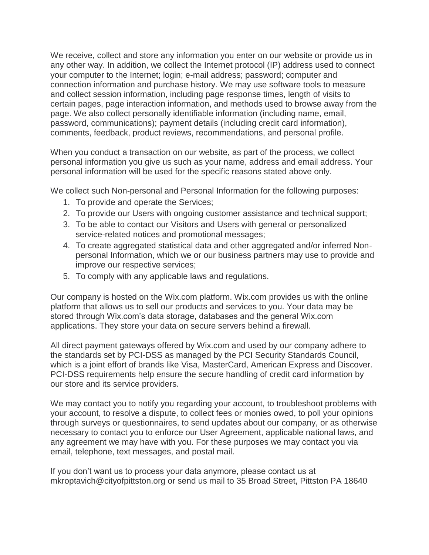We receive, collect and store any information you enter on our website or provide us in any other way. In addition, we collect the Internet protocol (IP) address used to connect your computer to the Internet; login; e-mail address; password; computer and connection information and purchase history. We may use software tools to measure and collect session information, including page response times, length of visits to certain pages, page interaction information, and methods used to browse away from the page. We also collect personally identifiable information (including name, email, password, communications); payment details (including credit card information), comments, feedback, product reviews, recommendations, and personal profile.

When you conduct a transaction on our website, as part of the process, we collect personal information you give us such as your name, address and email address. Your personal information will be used for the specific reasons stated above only.

We collect such Non-personal and Personal Information for the following purposes:

- 1. To provide and operate the Services;
- 2. To provide our Users with ongoing customer assistance and technical support;
- 3. To be able to contact our Visitors and Users with general or personalized service-related notices and promotional messages;
- 4. To create aggregated statistical data and other aggregated and/or inferred Nonpersonal Information, which we or our business partners may use to provide and improve our respective services;
- 5. To comply with any applicable laws and regulations.

Our company is hosted on the Wix.com platform. Wix.com provides us with the online platform that allows us to sell our products and services to you. Your data may be stored through Wix.com's data storage, databases and the general Wix.com applications. They store your data on secure servers behind a firewall.

All direct payment gateways offered by Wix.com and used by our company adhere to the standards set by PCI-DSS as managed by the PCI Security Standards Council, which is a joint effort of brands like Visa, MasterCard, American Express and Discover. PCI-DSS requirements help ensure the secure handling of credit card information by our store and its service providers.

We may contact you to notify you regarding your account, to troubleshoot problems with your account, to resolve a dispute, to collect fees or monies owed, to poll your opinions through surveys or questionnaires, to send updates about our company, or as otherwise necessary to contact you to enforce our User Agreement, applicable national laws, and any agreement we may have with you. For these purposes we may contact you via email, telephone, text messages, and postal mail.

If you don't want us to process your data anymore, please contact us at mkroptavich@cityofpittston.org or send us mail to 35 Broad Street, Pittston PA 18640